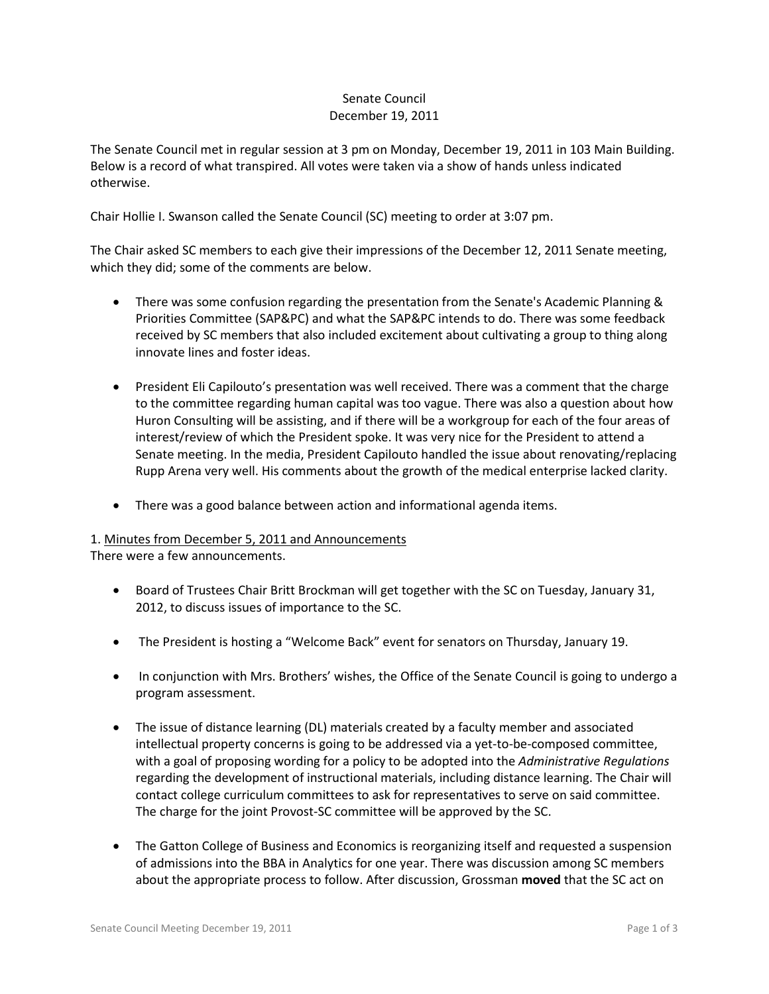# Senate Council December 19, 2011

The Senate Council met in regular session at 3 pm on Monday, December 19, 2011 in 103 Main Building. Below is a record of what transpired. All votes were taken via a show of hands unless indicated otherwise.

Chair Hollie I. Swanson called the Senate Council (SC) meeting to order at 3:07 pm.

The Chair asked SC members to each give their impressions of the December 12, 2011 Senate meeting, which they did; some of the comments are below.

- There was some confusion regarding the presentation from the Senate's Academic Planning & Priorities Committee (SAP&PC) and what the SAP&PC intends to do. There was some feedback received by SC members that also included excitement about cultivating a group to thing along innovate lines and foster ideas.
- President Eli Capilouto's presentation was well received. There was a comment that the charge to the committee regarding human capital was too vague. There was also a question about how Huron Consulting will be assisting, and if there will be a workgroup for each of the four areas of interest/review of which the President spoke. It was very nice for the President to attend a Senate meeting. In the media, President Capilouto handled the issue about renovating/replacing Rupp Arena very well. His comments about the growth of the medical enterprise lacked clarity.
- There was a good balance between action and informational agenda items.

### 1. Minutes from December 5, 2011 and Announcements

There were a few announcements.

- Board of Trustees Chair Britt Brockman will get together with the SC on Tuesday, January 31, 2012, to discuss issues of importance to the SC.
- The President is hosting a "Welcome Back" event for senators on Thursday, January 19.
- In conjunction with Mrs. Brothers' wishes, the Office of the Senate Council is going to undergo a program assessment.
- The issue of distance learning (DL) materials created by a faculty member and associated intellectual property concerns is going to be addressed via a yet-to-be-composed committee, with a goal of proposing wording for a policy to be adopted into the *Administrative Regulations* regarding the development of instructional materials, including distance learning. The Chair will contact college curriculum committees to ask for representatives to serve on said committee. The charge for the joint Provost-SC committee will be approved by the SC.
- The Gatton College of Business and Economics is reorganizing itself and requested a suspension of admissions into the BBA in Analytics for one year. There was discussion among SC members about the appropriate process to follow. After discussion, Grossman **moved** that the SC act on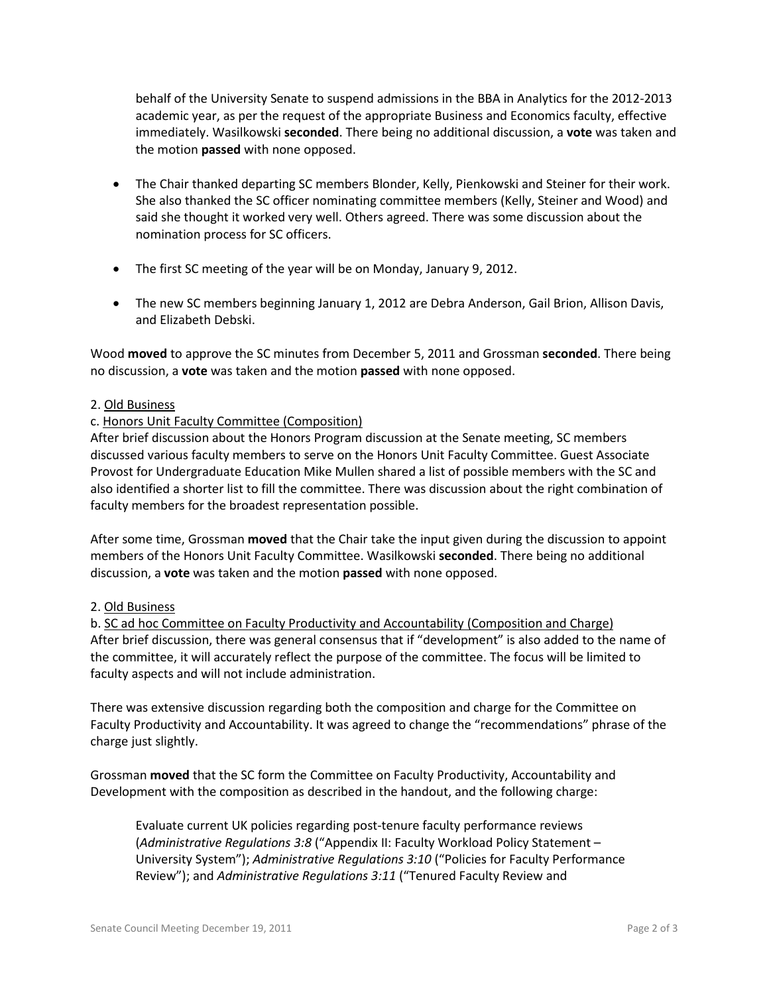behalf of the University Senate to suspend admissions in the BBA in Analytics for the 2012-2013 academic year, as per the request of the appropriate Business and Economics faculty, effective immediately. Wasilkowski **seconded**. There being no additional discussion, a **vote** was taken and the motion **passed** with none opposed.

- The Chair thanked departing SC members Blonder, Kelly, Pienkowski and Steiner for their work. She also thanked the SC officer nominating committee members (Kelly, Steiner and Wood) and said she thought it worked very well. Others agreed. There was some discussion about the nomination process for SC officers.
- The first SC meeting of the year will be on Monday, January 9, 2012.
- The new SC members beginning January 1, 2012 are Debra Anderson, Gail Brion, Allison Davis, and Elizabeth Debski.

Wood **moved** to approve the SC minutes from December 5, 2011 and Grossman **seconded**. There being no discussion, a **vote** was taken and the motion **passed** with none opposed.

## 2. Old Business

## c. Honors Unit Faculty Committee (Composition)

After brief discussion about the Honors Program discussion at the Senate meeting, SC members discussed various faculty members to serve on the Honors Unit Faculty Committee. Guest Associate Provost for Undergraduate Education Mike Mullen shared a list of possible members with the SC and also identified a shorter list to fill the committee. There was discussion about the right combination of faculty members for the broadest representation possible.

After some time, Grossman **moved** that the Chair take the input given during the discussion to appoint members of the Honors Unit Faculty Committee. Wasilkowski **seconded**. There being no additional discussion, a **vote** was taken and the motion **passed** with none opposed.

### 2. Old Business

b. SC ad hoc Committee on Faculty Productivity and Accountability (Composition and Charge) After brief discussion, there was general consensus that if "development" is also added to the name of the committee, it will accurately reflect the purpose of the committee. The focus will be limited to faculty aspects and will not include administration.

There was extensive discussion regarding both the composition and charge for the Committee on Faculty Productivity and Accountability. It was agreed to change the "recommendations" phrase of the charge just slightly.

Grossman **moved** that the SC form the Committee on Faculty Productivity, Accountability and Development with the composition as described in the handout, and the following charge:

Evaluate current UK policies regarding post-tenure faculty performance reviews (*Administrative Regulations 3:8* ("Appendix II: Faculty Workload Policy Statement – University System"); *Administrative Regulations 3:10* ("Policies for Faculty Performance Review"); and *Administrative Regulations 3:11* ("Tenured Faculty Review and